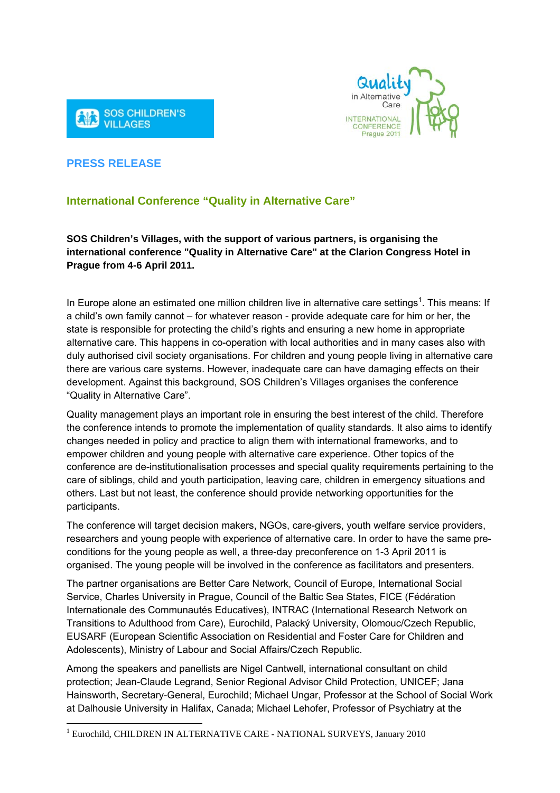



## **PRESS RELEASE**

1

## **International Conference "Quality in Alternative Care"**

I

**SOS Children's Villages, with the support of various partners, is organising the international conference "Quality in Alternative Care" at the Clarion Congress Hotel in Prague from 4-6 April 2011.** 

In Europe alone an estimated one million children live in alternative care settings<sup>1</sup>. This means: If a child's own family cannot – for whatever reason - provide adequate care for him or her, the state is responsible for protecting the child's rights and ensuring a new home in appropriate alternative care. This happens in co-operation with local authorities and in many cases also with duly authorised civil society organisations. For children and young people living in alternative care there are various care systems. However, inadequate care can have damaging effects on their development. Against this background, SOS Children's Villages organises the conference "Quality in Alternative Care".

Quality management plays an important role in ensuring the best interest of the child. Therefore the conference intends to promote the implementation of quality standards. It also aims to identify changes needed in policy and practice to align them with international frameworks, and to empower children and young people with alternative care experience. Other topics of the conference are de-institutionalisation processes and special quality requirements pertaining to the care of siblings, child and youth participation, leaving care, children in emergency situations and others. Last but not least, the conference should provide networking opportunities for the participants.

The conference will target decision makers, NGOs, care-givers, youth welfare service providers, researchers and young people with experience of alternative care. In order to have the same preconditions for the young people as well, a three-day preconference on 1-3 April 2011 is organised. The young people will be involved in the conference as facilitators and presenters.

The partner organisations are Better Care Network, Council of Europe, International Social Service, Charles University in Prague, Council of the Baltic Sea States, FICE (Fédération Internationale des Communautés Educatives), INTRAC (International Research Network on Transitions to Adulthood from Care), Eurochild, Palacký University, Olomouc/Czech Republic, EUSARF (European Scientific Association on Residential and Foster Care for Children and Adolescents), Ministry of Labour and Social Affairs/Czech Republic.

Among the speakers and panellists are Nigel Cantwell, international consultant on child protection; Jean-Claude Legrand, Senior Regional Advisor Child Protection, UNICEF; Jana Hainsworth, Secretary-General, Eurochild; Michael Ungar, Professor at the School of Social Work at Dalhousie University in Halifax, Canada; Michael Lehofer, Professor of Psychiatry at the

<sup>&</sup>lt;sup>1</sup> Eurochild, CHILDREN IN ALTERNATIVE CARE - NATIONAL SURVEYS, January 2010